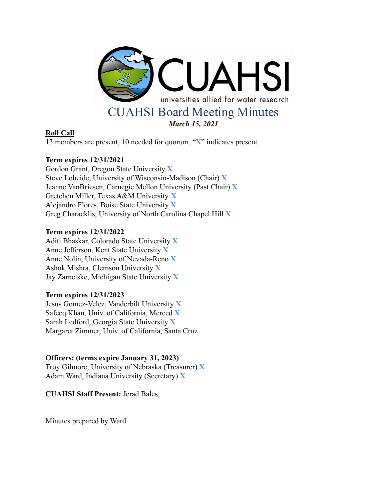

## **Roll Call**

13 members are present, 10 needed for quorum. "**X**" indicates present

# **Term expires 12/31/2021**

Gordon Grant, Oregon State University **X** Steve Loheide, University of Wisconsin-Madison (Chair) **X** Jeanne VanBriesen, Carnegie Mellon University (Past Chair) **X** Gretchen Miller, Texas A&M University **X** Alejandro Flores, Boise State University **X** Greg Characklis, University of North Carolina Chapel Hill **X**

## **Term expires 12/31/2022**

Aditi Bhaskar, Colorado State University **X** Anne Jefferson, Kent State University **X** Anne Nolin, University of Nevada-Reno **X** Ashok Mishra, Clemson University **X** Jay Zarnetske, Michigan State University **X**

## **Term expires 12/31/2023**

Jesus Gomez-Velez, Vanderbilt University **X** Safeeq Khan, Univ. of California, Merced **X** Sarah Ledford, Georgia State University **X** Margaret Zimmer, Univ. of California, Santa Cruz

## **Officers: (terms expire January 31, 2023)**

Troy Gilmore, University of Nebraska (Treasurer) **X** Adam Ward, Indiana University (Secretary) **X**

**CUAHSI Staff Present:** Jerad Bales,

Minutes prepared by Ward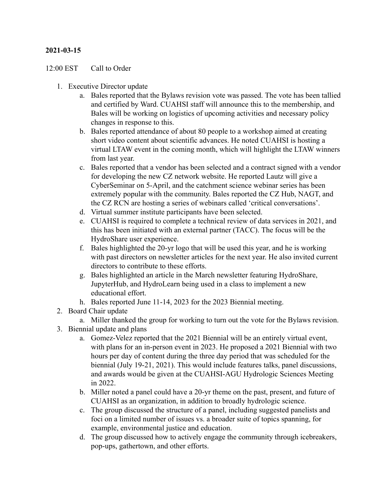## **2021-03-15**

#### 12:00 EST Call to Order

- 1. Executive Director update
	- a. Bales reported that the Bylaws revision vote was passed. The vote has been tallied and certified by Ward. CUAHSI staff will announce this to the membership, and Bales will be working on logistics of upcoming activities and necessary policy changes in response to this.
	- b. Bales reported attendance of about 80 people to a workshop aimed at creating short video content about scientific advances. He noted CUAHSI is hosting a virtual LTAW event in the coming month, which will highlight the LTAW winners from last year.
	- c. Bales reported that a vendor has been selected and a contract signed with a vendor for developing the new CZ network website. He reported Lautz will give a CyberSeminar on 5-April, and the catchment science webinar series has been extremely popular with the community. Bales reported the CZ Hub, NAGT, and the CZ RCN are hosting a series of webinars called 'critical conversations'.
	- d. Virtual summer institute participants have been selected.
	- e. CUAHSI is required to complete a technical review of data services in 2021, and this has been initiated with an external partner (TACC). The focus will be the HydroShare user experience.
	- f. Bales highlighted the 20-yr logo that will be used this year, and he is working with past directors on newsletter articles for the next year. He also invited current directors to contribute to these efforts.
	- g. Bales highlighted an article in the March newsletter featuring HydroShare, JupyterHub, and HydroLearn being used in a class to implement a new educational effort.
	- h. Bales reported June 11-14, 2023 for the 2023 Biennial meeting.
- 2. Board Chair update
	- a. Miller thanked the group for working to turn out the vote for the Bylaws revision.
- 3. Biennial update and plans
	- a. Gomez-Velez reported that the 2021 Biennial will be an entirely virtual event, with plans for an in-person event in 2023. He proposed a 2021 Biennial with two hours per day of content during the three day period that was scheduled for the biennial (July 19-21, 2021). This would include features talks, panel discussions, and awards would be given at the CUAHSI-AGU Hydrologic Sciences Meeting in 2022.
	- b. Miller noted a panel could have a 20-yr theme on the past, present, and future of CUAHSI as an organization, in addition to broadly hydrologic science.
	- c. The group discussed the structure of a panel, including suggested panelists and foci on a limited number of issues vs. a broader suite of topics spanning, for example, environmental justice and education.
	- d. The group discussed how to actively engage the community through icebreakers, pop-ups, gathertown, and other efforts.